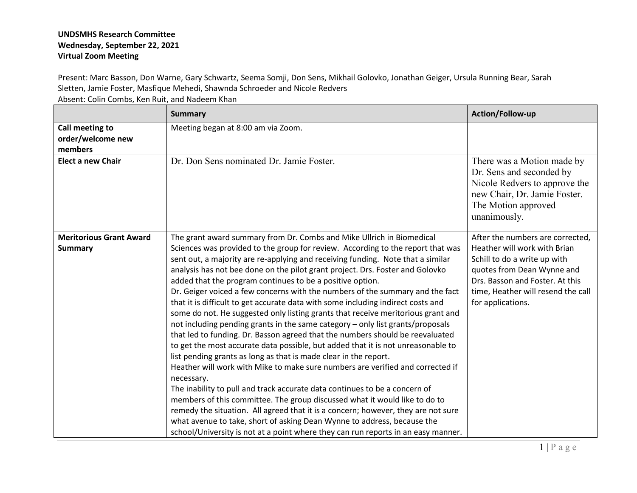## **UNDSMHS Research Committee Wednesday, September 22, 2021 Virtual Zoom Meeting**

Present: Marc Basson, Don Warne, Gary Schwartz, Seema Somji, Don Sens, Mikhail Golovko, Jonathan Geiger, Ursula Running Bear, Sarah Sletten, Jamie Foster, Masfique Mehedi, Shawnda Schroeder and Nicole Redvers

Absent: Colin Combs, Ken Ruit, and Nadeem Khan

|                                                  | <b>Summary</b>                                                                                                                                                                                                                                                                                                                                                                                                                                                                                                                                                                                                                                                                                                                                                                                                                                                                                                                                                                                                                                                                                                                                                                                                                                                                                                                                                                                                                                                                                 | Action/Follow-up                                                                                                                                                                                                             |
|--------------------------------------------------|------------------------------------------------------------------------------------------------------------------------------------------------------------------------------------------------------------------------------------------------------------------------------------------------------------------------------------------------------------------------------------------------------------------------------------------------------------------------------------------------------------------------------------------------------------------------------------------------------------------------------------------------------------------------------------------------------------------------------------------------------------------------------------------------------------------------------------------------------------------------------------------------------------------------------------------------------------------------------------------------------------------------------------------------------------------------------------------------------------------------------------------------------------------------------------------------------------------------------------------------------------------------------------------------------------------------------------------------------------------------------------------------------------------------------------------------------------------------------------------------|------------------------------------------------------------------------------------------------------------------------------------------------------------------------------------------------------------------------------|
| Call meeting to<br>order/welcome new<br>members  | Meeting began at 8:00 am via Zoom.                                                                                                                                                                                                                                                                                                                                                                                                                                                                                                                                                                                                                                                                                                                                                                                                                                                                                                                                                                                                                                                                                                                                                                                                                                                                                                                                                                                                                                                             |                                                                                                                                                                                                                              |
| <b>Elect a new Chair</b>                         | Dr. Don Sens nominated Dr. Jamie Foster.                                                                                                                                                                                                                                                                                                                                                                                                                                                                                                                                                                                                                                                                                                                                                                                                                                                                                                                                                                                                                                                                                                                                                                                                                                                                                                                                                                                                                                                       | There was a Motion made by<br>Dr. Sens and seconded by<br>Nicole Redvers to approve the<br>new Chair, Dr. Jamie Foster.<br>The Motion approved<br>unanimously.                                                               |
| <b>Meritorious Grant Award</b><br><b>Summary</b> | The grant award summary from Dr. Combs and Mike Ullrich in Biomedical<br>Sciences was provided to the group for review. According to the report that was<br>sent out, a majority are re-applying and receiving funding. Note that a similar<br>analysis has not bee done on the pilot grant project. Drs. Foster and Golovko<br>added that the program continues to be a positive option.<br>Dr. Geiger voiced a few concerns with the numbers of the summary and the fact<br>that it is difficult to get accurate data with some including indirect costs and<br>some do not. He suggested only listing grants that receive meritorious grant and<br>not including pending grants in the same category - only list grants/proposals<br>that led to funding. Dr. Basson agreed that the numbers should be reevaluated<br>to get the most accurate data possible, but added that it is not unreasonable to<br>list pending grants as long as that is made clear in the report.<br>Heather will work with Mike to make sure numbers are verified and corrected if<br>necessary.<br>The inability to pull and track accurate data continues to be a concern of<br>members of this committee. The group discussed what it would like to do to<br>remedy the situation. All agreed that it is a concern; however, they are not sure<br>what avenue to take, short of asking Dean Wynne to address, because the<br>school/University is not at a point where they can run reports in an easy manner. | After the numbers are corrected,<br>Heather will work with Brian<br>Schill to do a write up with<br>quotes from Dean Wynne and<br>Drs. Basson and Foster. At this<br>time, Heather will resend the call<br>for applications. |